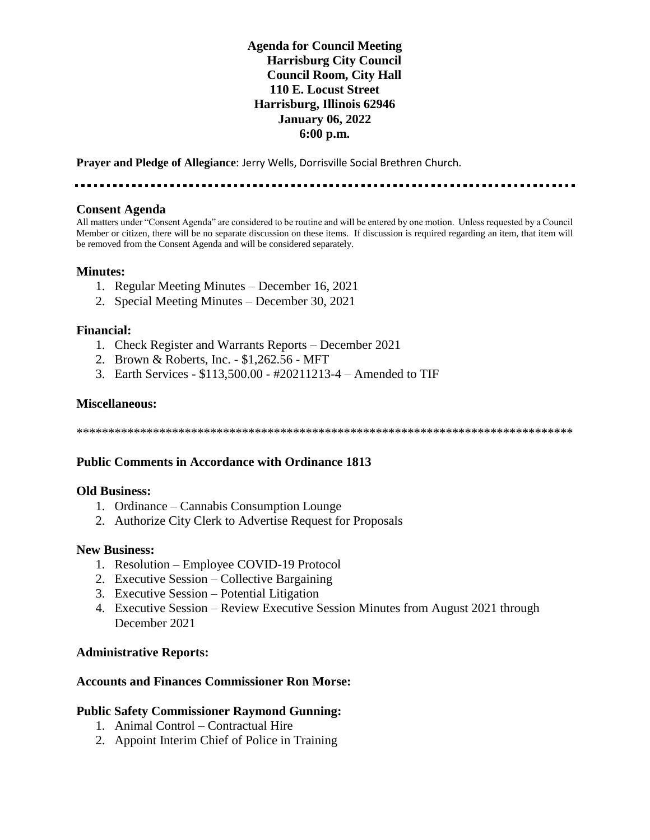## **Agenda for Council Meeting Harrisburg City Council Council Room, City Hall 110 E. Locust Street Harrisburg, Illinois 62946 January 06, 2022 6:00 p.m.**

**Prayer and Pledge of Allegiance**: Jerry Wells, Dorrisville Social Brethren Church.

. . . . . . . . . . . . . . . .

#### **Consent Agenda**

All matters under "Consent Agenda" are considered to be routine and will be entered by one motion. Unless requested by a Council Member or citizen, there will be no separate discussion on these items. If discussion is required regarding an item, that item will be removed from the Consent Agenda and will be considered separately.

#### **Minutes:**

- 1. Regular Meeting Minutes December 16, 2021
- 2. Special Meeting Minutes December 30, 2021

#### **Financial:**

- 1. Check Register and Warrants Reports December 2021
- 2. Brown & Roberts, Inc. \$1,262.56 MFT
- 3. Earth Services \$113,500.00 #20211213-4 Amended to TIF

#### **Miscellaneous:**

\*\*\*\*\*\*\*\*\*\*\*\*\*\*\*\*\*\*\*\*\*\*\*\*\*\*\*\*\*\*\*\*\*\*\*\*\*\*\*\*\*\*\*\*\*\*\*\*\*\*\*\*\*\*\*\*\*\*\*\*\*\*\*\*\*\*\*\*\*\*\*\*\*\*\*\*\*\*

#### **Public Comments in Accordance with Ordinance 1813**

#### **Old Business:**

- 1. Ordinance Cannabis Consumption Lounge
- 2. Authorize City Clerk to Advertise Request for Proposals

#### **New Business:**

- 1. Resolution Employee COVID-19 Protocol
- 2. Executive Session Collective Bargaining
- 3. Executive Session Potential Litigation
- 4. Executive Session Review Executive Session Minutes from August 2021 through December 2021

#### **Administrative Reports:**

#### **Accounts and Finances Commissioner Ron Morse:**

#### **Public Safety Commissioner Raymond Gunning:**

- 1. Animal Control Contractual Hire
- 2. Appoint Interim Chief of Police in Training